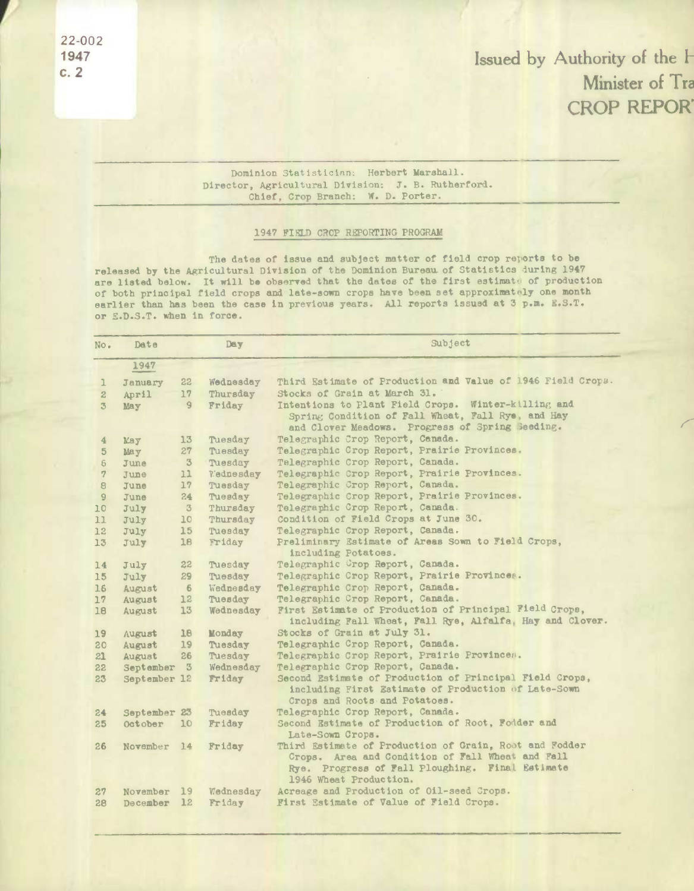## **1947 Issued by Authority of the F c.2 Minister of Tra CROP REPOR'**

*I-* 

## Dominion Statistician: Herbert Marshall. Director, Agricultural Division: J. B. Rutherford. Chief, Crop Branch: W. D. Porter.

## 1947 FIELD CROP REPORTING PROGRAM

The dates of issue and subject matter of field crop reports to be released by the Agricultural Division of the Dominion Bureau. of Statistics during 1947 are listed below. It will be observed that the dates of the first estimate of production of both principal field crops and late-sown crops have been set approximately one month earlier than has been the case in previous years. All reports issued at 3 p.m. E.S.T. or E.D.S.T. when in force.

| No.             | Date         |                 | <b>Day</b> | Subject                                                           |
|-----------------|--------------|-----------------|------------|-------------------------------------------------------------------|
|                 | 1947         |                 |            |                                                                   |
| ı               | January      | 22              | Wednesday  | Third Estimate of Production and Value of 1946 Field Crops.       |
| $\mathbf{2}$    | April        | 17              | Thursday   | Stocks of Grain at March 31.                                      |
| 3               | May          | $\overline{9}$  | Friday     | Intentions to Plant Field Crops. Winter-killing and               |
|                 |              |                 |            | Spring Condition of Fall Wheat, Fall Rye, and Hay                 |
|                 |              |                 |            | and Clover Meadows. Progress of Spring Seeding.                   |
| 4               | May          | 13              | Tuesday    | Telegraphic Crop Report, Canada.                                  |
| $5\overline{)}$ | May          | 27              | Tuesday    | Telegraphic Crop Report, Prairie Provinces.                       |
| 6               | June         | $\overline{3}$  | Tuesday    | Telegraphic Crop Report, Canada.                                  |
| $7\overline{ }$ | June         | 11              | Wednesday  | Telegraphic Crop Report, Prairie Provinces.                       |
| 8               | June         | 17              | Tuesday    | Telegraphic Crop Report, Canada.                                  |
| 9               | June         | 24              | Tuesday    | Telegraphic Crop Report, Prairie Provinces.                       |
| 10              | July         | 3               | Thursday   | Telegraphic Crop Report, Canada.                                  |
| 11              | July         | 10              | Thursday   | Condition of Field Crops at June 30.                              |
| 12              | July         | 15              | Tuesday    | Telegraphic Crop Report, Canada.                                  |
| 13              | July         | 18              | Friday     | Preliminary Estimate of Areas Sown to Field Crops,                |
|                 |              |                 |            | including Potatoes.                                               |
| 14              | July         | 22              | Tuesday    | Telegraphic Crop Report, Canada.                                  |
| 15 <sub>1</sub> | July         | 29              | Tuesday    | Telegraphic Crop Report, Prairie Provinces.                       |
| 16              | August       | - 6             | Wednesday  | Telegraphic Crop Report, Canada.                                  |
| 17              | August       | 12 <sup>°</sup> | Tuesday    | Telegraphic Crop Report, Canada.                                  |
| 18              | August       | 13              | Wednesday  | First Estimate of Production of Principal Field Crops,            |
|                 |              |                 |            | including Fall Wheat, Fall Rye, Alfalfa, Hay and Clover.          |
| 19              | August       | 18              | Monday     | Stocks of Grain at July 31.                                       |
| 20              | August       | 19              | Tuesday    | Telegraphic Crop Report, Canada.                                  |
| 21              | August       | 26              | Tuesday    | Telegraphic Crop Report, Prairie Provinces.                       |
| 22              | September    | $\overline{3}$  | Wednesday  | Telegraphic Crop Report, Canada.                                  |
| 23              | September 12 |                 | Friday     | Second Estimate of Production of Principal Field Crops,           |
|                 |              |                 |            | including First Estimate of Production of Late-Sown               |
|                 |              |                 |            | Crops and Roots and Potatoes.<br>Telegraphic Crop Report, Canada. |
| 24              | September 23 |                 | Tuesday    | Second Estimate of Production of Root, Fodder and                 |
| 25 <sub>2</sub> | October      | 10              | Friday     | Late-Sown Crops.                                                  |
| 26              | November 14  |                 | Friday     | Third Estimate of Production of Grain. Root and Fodder            |
|                 |              |                 |            | Crops. Area and Condition of Fall Wheat and Fall                  |
|                 |              |                 |            | Rye. Progress of Fall Ploughing. Final Estimate                   |
|                 |              |                 |            | 1946 Wheat Production.                                            |
| 27              | November     | 19              | Wednesday  | Acreage and Production of Oil-seed Crops.                         |
| 28              | December     | 12              | Friday     | First Estimate of Value of Field Crops.                           |
|                 |              |                 |            |                                                                   |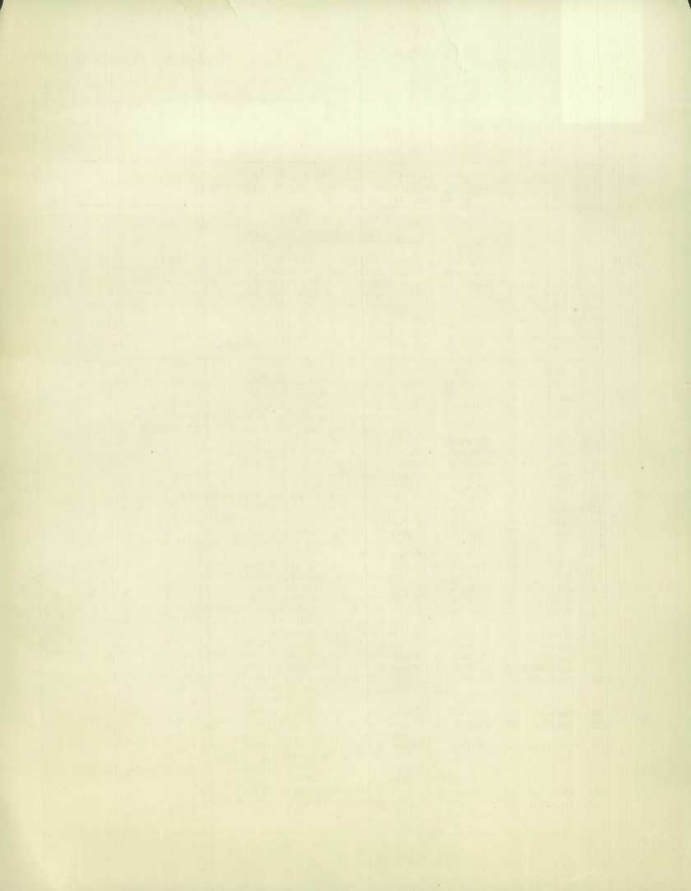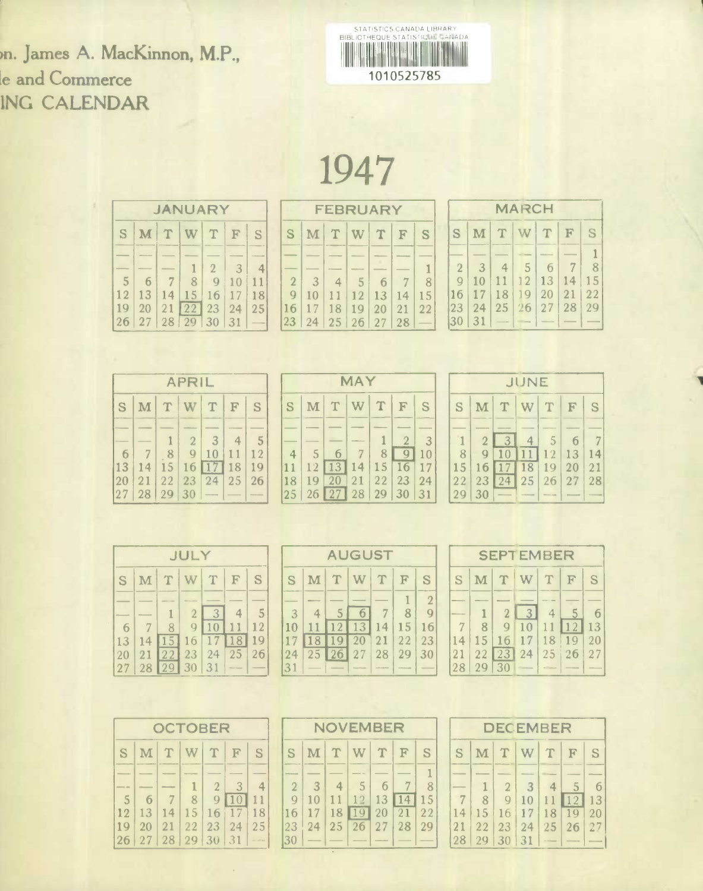**n. James A. MacKinnon, M.P., and Commerce INC CALENDAR** 

 $\overline{\phantom{0}}$ 



**JANUARY**  SMTWTF S  $\begin{array}{|c|c|c|c|}\n\hline\n1&2&3&4 \\
8&9&10&11\n\end{array}$   $\frac{1}{2}$ 5 6 7 8 9 10 11 12 13 14 15 16 17 18  $\begin{array}{|c|c|c|c|c|}\n 19 & 20 & 21 & 22 & 23 & 24 & 25 \\
 26 & 27 & 28 & 29 & 30 & 31 & - \n\end{array}$ 

|                | <b>FEBRUARY</b> |    |                          |              |             |    |  |  |  |
|----------------|-----------------|----|--------------------------|--------------|-------------|----|--|--|--|
| S              | M               | T  | W                        | T            | $\mathbf F$ | S  |  |  |  |
|                |                 |    |                          |              |             |    |  |  |  |
| $\overline{2}$ | 3               |    | $\overline{\mathcal{L}}$ | 6            |             | 8  |  |  |  |
| 9              | 10              | 11 | 12                       | 13           | 14          | 15 |  |  |  |
| 16             | 17              | 18 | 19                       | 20           | 21          | 22 |  |  |  |
| 23             | 24              | 25 |                          | $26 \mid 27$ | 28          |    |  |  |  |

|                | MARCH |    |    |    |    |    |  |  |  |  |
|----------------|-------|----|----|----|----|----|--|--|--|--|
| S              | M     | T  | W  | T  | F  | S  |  |  |  |  |
|                |       |    |    |    |    |    |  |  |  |  |
| $\overline{2}$ | 3     | 4  | 5  | 6  | 7  | 8  |  |  |  |  |
| $\mathbf Q$    | 10    | 11 | 12 | 13 | 14 | 15 |  |  |  |  |
| 16             | 17    | 18 | 19 | 20 | 21 | 22 |  |  |  |  |
| 23             | 24    | 25 | 26 | 27 | 28 | 29 |  |  |  |  |
| 30             | 31    |    |    |    |    |    |  |  |  |  |

|    | APRIL |     |                |    |               |                 |  |  |  |  |  |
|----|-------|-----|----------------|----|---------------|-----------------|--|--|--|--|--|
| S  |       | M/T | W              | T  | $\mathbf F$   | S               |  |  |  |  |  |
|    |       |     |                |    |               |                 |  |  |  |  |  |
|    |       | 1   | $\overline{2}$ | 3  | $\mathcal{A}$ | $5\overline{)}$ |  |  |  |  |  |
| 6  | 7     | 8   | 9              | 10 | 11            | 12              |  |  |  |  |  |
| 13 | 14    | 15  | 16             | 17 | 18            | 19              |  |  |  |  |  |
| 20 | 21    | 22  | 23             | 24 | 25            | 26              |  |  |  |  |  |
| 27 | 28    | 29  | 30             |    |               |                 |  |  |  |  |  |

|    | MAY         |    |    |    |             |         |  |  |  |
|----|-------------|----|----|----|-------------|---------|--|--|--|
| S  | M           | T  | W  | T  | $\mathbf F$ | S       |  |  |  |
|    |             |    |    |    |             |         |  |  |  |
|    | $\tilde{S}$ | 6  |    | 8  | Q           | 3<br>10 |  |  |  |
| 11 | 12          | 13 | 14 | 15 | 16          | 17      |  |  |  |
| 18 | 19          | 20 | 21 | 22 | 23          | 24      |  |  |  |
| 25 | 26          | 27 | 28 | 29 | 30          | 31      |  |  |  |

|    |                |    | JUNE |    |             |    |
|----|----------------|----|------|----|-------------|----|
| S  | M              | Υ  |      | Τ  | $\mathbf F$ | S. |
|    |                |    |      |    |             |    |
| 1  | $\overline{2}$ | 3  |      | 5  | 6           |    |
| 8  | g              | 10 | 11   | 12 | 13          | 14 |
| 15 | 16             | 17 | 18   | 19 | 20          | 21 |
| 22 | 23             | 24 | 25   | 26 | 27          | 28 |
| 29 | 30             |    |      |    |             |    |

|    | JULY |              |              |               |              |                |  |  |  |  |
|----|------|--------------|--------------|---------------|--------------|----------------|--|--|--|--|
| S  | M    | $\mathbb{T}$ | W            | $\mathsf{T}$  | $\mathbf{F}$ | S              |  |  |  |  |
|    |      |              | 2            | $\mathcal{F}$ |              | $\overline{a}$ |  |  |  |  |
| 6  |      |              | <sup>Q</sup> | 10            |              | 12             |  |  |  |  |
| 13 | 14   | 15           | 16           | 17            | 18           | 19             |  |  |  |  |
| 20 | 21   | 22           | 23           | 24            | 25           | 26             |  |  |  |  |
| 27 | 28   | 29           | 30           | 31            |              |                |  |  |  |  |

| <b>AUGUST</b> |                                 |    |    |    |    |                |  |  |  |  |
|---------------|---------------------------------|----|----|----|----|----------------|--|--|--|--|
| S             | T<br>Υ<br>S<br>$\mathbf F$<br>M |    |    |    |    |                |  |  |  |  |
|               |                                 |    |    |    | 1  | $\overline{2}$ |  |  |  |  |
| 3             |                                 | 5  | 6  |    | 8  | Q              |  |  |  |  |
| 10            | 11                              | 12 | 13 | 14 | 15 | 16             |  |  |  |  |
| 17            | 18                              | 19 | 20 | 21 | 22 | 23             |  |  |  |  |
| 24            | 25                              | 26 | 27 | 28 | 29 | 30             |  |  |  |  |
| 31            |                                 |    |    |    |    |                |  |  |  |  |

| <b>SEPTEMBER</b> |    |                 |    |    |             |    |  |  |  |  |
|------------------|----|-----------------|----|----|-------------|----|--|--|--|--|
| S                | M  | T               | W  | Υ  | $\mathbf F$ | S  |  |  |  |  |
|                  |    |                 |    |    |             |    |  |  |  |  |
|                  | ı. | $\overline{2}$  | 3  | 4  | 5           | 6  |  |  |  |  |
| 7                | 8  | $\mathbf Q$     | 10 | 11 | 12          | 13 |  |  |  |  |
| 14               | 15 | 16              | 17 | 18 | 19          | 20 |  |  |  |  |
| 21               | 22 | $\overline{23}$ | 24 | 25 | 26          | 27 |  |  |  |  |
| 28               | 29 | 30              |    |    |             |    |  |  |  |  |

|              | <b>OCTOBER</b>  |                          |               |                |                 |          |  |  |  |  |
|--------------|-----------------|--------------------------|---------------|----------------|-----------------|----------|--|--|--|--|
| S            | M.              | T                        | W             | T              | F               | S        |  |  |  |  |
|              |                 |                          |               |                |                 |          |  |  |  |  |
|              |                 |                          | ı.            | $\overline{2}$ | 3               | $\Delta$ |  |  |  |  |
| $\mathsf{S}$ | 6               | $\overline{\phantom{a}}$ | $\mathcal{R}$ | Q              | 10 <sup>°</sup> | 11       |  |  |  |  |
| 12           | 13              | 14                       | 15            | 16             | 17              | 18       |  |  |  |  |
| 19           | 20              | 21                       | 22            | 23             | 24              | 25       |  |  |  |  |
| 26           | 27 <sub>2</sub> | 28                       |               | 29 30          | 31              |          |  |  |  |  |

|                | <b>NOVEMBER</b> |    |              |    |             |    |  |  |  |
|----------------|-----------------|----|--------------|----|-------------|----|--|--|--|
| S              | MIT             |    | W            | T  | $\mathbf F$ | S  |  |  |  |
|                |                 |    |              |    |             |    |  |  |  |
| $\overline{2}$ | 3               | 4  | $\mathsf{S}$ | 6  |             | 8  |  |  |  |
| $\mathbf Q$    | 10              | 11 | 12           | 13 | 14          | 15 |  |  |  |
| 16             | 17              | 18 | 19           | 20 | 21          | 22 |  |  |  |
| 23             | 24              | 25 | 26           | 27 | 28          | 29 |  |  |  |
| 30             |                 |    |              |    |             |    |  |  |  |

| DECEMBER |              |                |              |    |    |    |  |  |  |  |
|----------|--------------|----------------|--------------|----|----|----|--|--|--|--|
| S        | M            | T              | W            | T  | F  | S  |  |  |  |  |
|          |              |                |              |    |    |    |  |  |  |  |
|          |              | $\overline{2}$ | $\mathbf{3}$ | 4  | 5  | 6  |  |  |  |  |
|          | $\mathbf{8}$ | Q              | 10           | 11 | 12 | 13 |  |  |  |  |
| 14       | 15           | 16             | 17           | 18 | 19 | 20 |  |  |  |  |
| 21       | 22           | 23             | 24           | 25 | 26 | 27 |  |  |  |  |
| 28       | 29           | 30             | 31           |    |    |    |  |  |  |  |